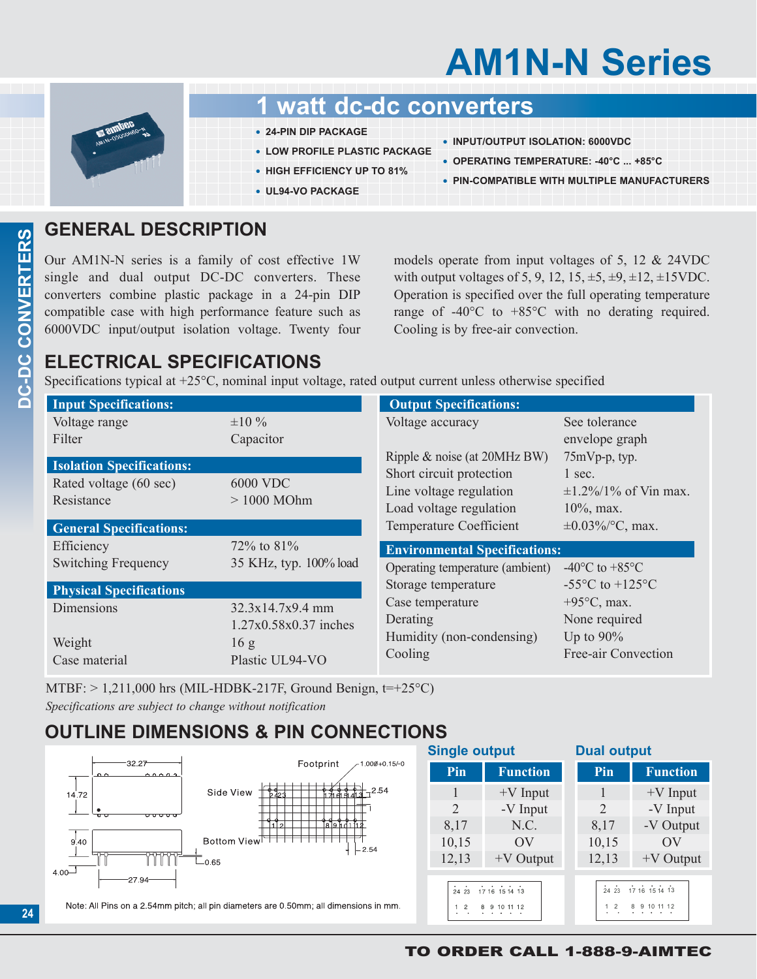## **AM1N-N Series**



## **1 watt dc-dc converters**

- **• 24-PIN DIP PACKAGE**
- **• LOW PROFILE PLASTIC PACKAGE**
- **• HIGH EFFICIENCY UP TO 81%**
- **• UL94-VO PACKAGE**
- **• INPUT/OUTPUT ISOLATION: 6000VDC**
- **• OPERATING TEMPERATURE: -40°C ... +85°C**
- **• PIN-COMPATIBLE WITH MULTIPLE MANUFACTURERS**

## **GENERAL DESCRIPTION**

Our AM1N-N series is a family of cost effective 1W single and dual output DC-DC converters. These converters combine plastic package in a 24-pin DIP compatible case with high performance feature such as 6000VDC input/output isolation voltage. Twenty four models operate from input voltages of 5, 12 & 24VDC with output voltages of 5, 9, 12, 15,  $\pm$ 5,  $\pm$ 9,  $\pm$ 12,  $\pm$ 15VDC. Operation is specified over the full operating temperature range of -40°C to +85°C with no derating required. Cooling is by free-air convection.

## **ELECTRICAL SPECIFICATIONS**

Specifications typical at +25°C, nominal input voltage, rated output current unless otherwise specified

| <b>Input Specifications:</b>     |                        | <b>Output Specifications:</b>                               |                                      |
|----------------------------------|------------------------|-------------------------------------------------------------|--------------------------------------|
| Voltage range                    | $\pm 10 \%$            | Voltage accuracy                                            | See tolerance                        |
| Filter                           | Capacitor              |                                                             | envelope graph                       |
| <b>Isolation Specifications:</b> |                        | Ripple $\&$ noise (at 20MHz BW)<br>Short circuit protection | 75mVp-p, typ.<br>1 sec.              |
| Rated voltage (60 sec)           | <b>6000 VDC</b>        | Line voltage regulation                                     | $\pm 1.2\%/1\%$ of Vin max.          |
| Resistance                       | $>1000$ MOhm           | Load voltage regulation                                     | $10\%$ , max.                        |
| <b>General Specifications:</b>   |                        | <b>Temperature Coefficient</b>                              | $\pm 0.03\%$ /°C, max.               |
| Efficiency                       | 72\% to $81\%$         | <b>Environmental Specifications:</b>                        |                                      |
| <b>Switching Frequency</b>       | 35 KHz, typ. 100% load | Operating temperature (ambient)                             | -40 $^{\circ}$ C to +85 $^{\circ}$ C |
| <b>Physical Specifications</b>   |                        | Storage temperature                                         | $-55^{\circ}$ C to $+125^{\circ}$ C  |
| Dimensions                       | 32.3x14.7x9.4 mm       | Case temperature                                            | $+95^{\circ}$ C, max.                |
|                                  | 1.27x0.58x0.37 inches  | Derating                                                    | None required                        |
| Weight                           | 16 g                   | Humidity (non-condensing)                                   | Up to $90\%$                         |
| Case material                    | Plastic UL94-VO        | Cooling                                                     | Free-air Convection                  |

MTBF:  $> 1,211,000$  hrs (MIL-HDBK-217F, Ground Benign,  $t=+25^{\circ}$ C) *Specifications are subject to change without notification*

## **OUTLINE DIMENSIONS & PIN CONNECTIONS**



## TO ORDER CALL 1-888-9-AIMTEC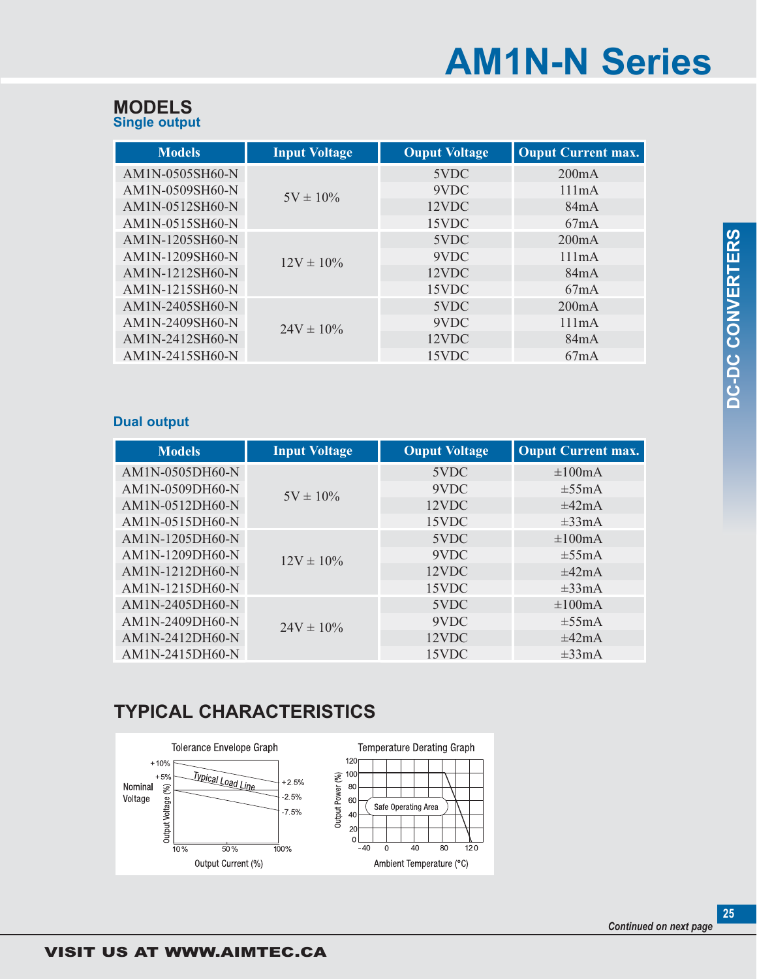# **AM1N-N Series**

| <b>MODELS</b>        |  |
|----------------------|--|
| <b>Single output</b> |  |

| <b>Models</b>   | <b>Input Voltage</b> | <b>Ouput Voltage</b> | <b>Ouput Current max.</b> |
|-----------------|----------------------|----------------------|---------------------------|
| AM1N-0505SH60-N | $5V \pm 10\%$        | 5VDC                 | 200mA                     |
| AM1N-0509SH60-N |                      | 9VDC                 | 111mA                     |
| AM1N-0512SH60-N |                      | 12VDC                | 84mA                      |
| AM1N-0515SH60-N |                      | 15VDC                | 67mA                      |
| AM1N-1205SH60-N | $12V \pm 10\%$       | 5VDC                 | 200mA                     |
| AM1N-1209SH60-N |                      | 9VDC                 | 111mA                     |
| AM1N-1212SH60-N |                      | 12VDC                | 84mA                      |
| AM1N-1215SH60-N |                      | 15VDC                | 67mA                      |
| AM1N-2405SH60-N | $24V \pm 10\%$       | 5VDC                 | 200mA                     |
| AM1N-2409SH60-N |                      | 9VDC                 | 111mA                     |
| AM1N-2412SH60-N |                      | 12VDC                | 84mA                      |
| AM1N-2415SH60-N |                      | 15VDC                | 67mA                      |

### **Dual output**

| <b>Models</b>   | <b>Input Voltage</b> | <b>Ouput Voltage</b> | <b>Ouput Current max.</b> |
|-----------------|----------------------|----------------------|---------------------------|
| AM1N-0505DH60-N | $5V \pm 10\%$        | 5VDC                 | $\pm 100$ mA              |
| AM1N-0509DH60-N |                      | 9VDC                 | $\pm 55 \text{mA}$        |
| AM1N-0512DH60-N |                      | 12VDC                | $\pm 42 \text{mA}$        |
| AM1N-0515DH60-N |                      | 15VDC                | $\pm 33 \text{mA}$        |
| AM1N-1205DH60-N | $12V \pm 10\%$       | 5VDC                 | $\pm 100$ mA              |
| AM1N-1209DH60-N |                      | 9VDC                 | $\pm 55 \text{mA}$        |
| AM1N-1212DH60-N |                      | 12VDC                | $\pm 42 \text{mA}$        |
| AM1N-1215DH60-N |                      | 15VDC                | $\pm 33 \text{mA}$        |
| AM1N-2405DH60-N | $24V \pm 10\%$       | 5VDC                 | $\pm 100$ mA              |
| AM1N-2409DH60-N |                      | 9VDC                 | $\pm 55 \text{mA}$        |
| AM1N-2412DH60-N |                      | 12VDC                | $\pm 42 \text{mA}$        |
| AM1N-2415DH60-N |                      | 15VDC                | $\pm 33 \text{mA}$        |

## **TYPICAL CHARACTERISTICS**